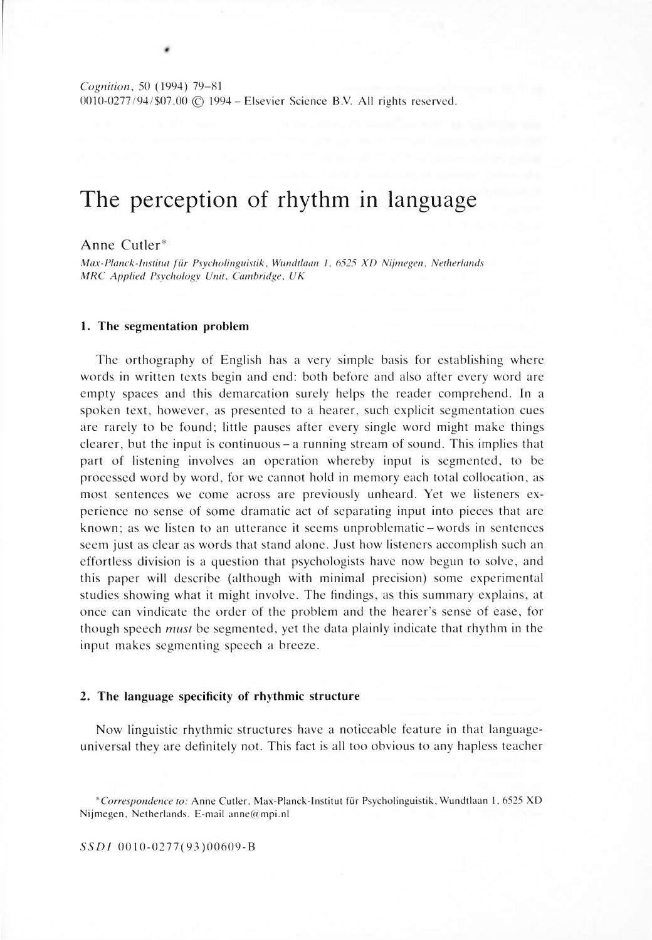### *Cognition*, 50 (1994) 79-81 0010-0277/94/\$07.00 © 1994 - Elsevier Science B.V. All rights reserved.

# The perception of rhythm in language

*Max-Planck-Institut für Psycholinguistik, Wundtlaan* 1, 6525 XD Nijmegen, Netherlands *M R C Applied Psychology Unit, Cambridge, UK*

## Anne Cutler\*

#### **1. The segmentation problem**

The orthography of English has a very simple basis for establishing where words in written texts begin and end: both before and also after every word are empty spaces and this demarcation surely helps the reader comprehend. In a spoken text, however, as presented to a hearer, such explicit segmentation cues are rarely to be found; little pauses after every single word might make things clearer, but the input is continuous – a running stream of sound. This implies that part of listening involves an operation whereby input is segmented, to be processed word by word, for we cannot hold in memory each total collocation, as most sentences we come across are previously unheard. Yet we listeners experience no sense of some dramatic act of separating input into pieces that are known; as we listen to an utterance it seems unproblematic – words in sentences seem just as clear as words that stand alone. Just how listeners accomplish such an effortless division is a question that psychologists have now begun to solve, and this paper will describe (although with minimal precision) some experimental studies showing what it might involve. The findings, as this summary explains, at once can vindicate the order of the problem and the hearer's sense of ease, for though speech *must* be segmented, yet the data plainly indicate that rhythm in the input makes segmenting speech a breeze.

<sup>\*</sup> Correspondence to: Anne Cutler, Max-Planck-Institut für Psycholinguistik, Wundtlaan 1, 6525 XD Nijmegen, Netherlands. E-mail [anne@mpi.nl](mailto:anne@mpi.nl)

# **2. The language specificity of rhythmic structure**

Now linguistic rhythmic structures have a noticeable feature in that languageuniversal they are definitely not. This fact is all too obvious to any hapless teacher

*SSDI* 00 10-0277(93)00609-B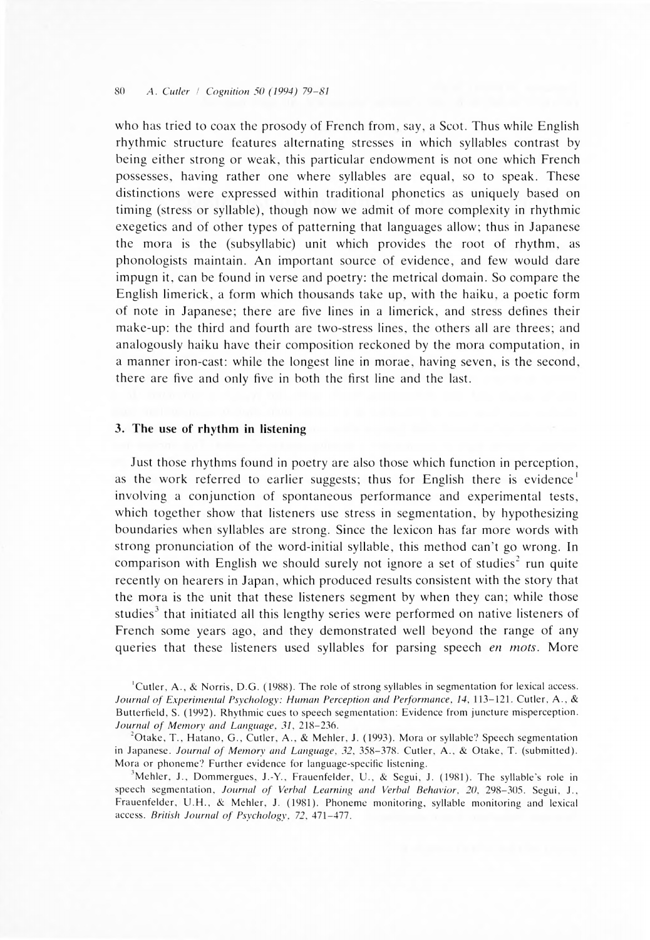#### 80 **,**4 **.** *Cutler* **/** *Cognition 50 (1994) 79-81*

who has tried to coax the prosody of French from, say, a Scot. Thus while English rhythm ic structure features alternating stresses in which syllables contrast by being either strong or weak, this particular endowment is not one which French possesses, having rather one where syllables are equal, so to speak. These distinctions were expressed within traditional phonetics as uniquely based on timing (stress or syllable), though now we admit of more complexity in rhythmic exegetics and of other types of patterning that languages allow; thus in Japanese the mora is the (subsyllabic) unit which provides the root of rhythm, as phonologists maintain. An important source of evidence, and few would dare impugn it, can be found in verse and poetry: the metrical domain. So compare the English limerick, a form which thousands take up, with the haiku, a poetic form of note in Japanese; there are five lines in a limerick, and stress defines their make-up: the third and fourth are two-stress lines, the others all are threes; and analogously haiku have their composition reckoned by the mora computation, in a manner iron-cast: while the longest line in morae, having seven, is the second, there are five and only five in both the first line and the last.

Just those rhythms found in poetry are also those which function in perception, as the work referred to earlier suggests; thus for English there is evidence involving a conjunction of spontaneous performance and experimental tests, which together show that listeners use stress in segmentation, by hypothesizing boundaries when syllables are strong. Since the lexicon has far more words with strong pronunciation of the word-initial syllable, this method can't go wrong. In comparison with English we should surely not ignore a set of studies<sup>2</sup> run quite recently on hearers in Japan, which produced results consistent with the story that the mora is the unit that these listeners segment by when they can; while those studies<sup>3</sup> that initiated all this lengthy series were performed on native listeners of French some years ago, and they demonstrated well beyond the range of any queries that these listeners used syllables for parsing speech *en mots.* More

 $^{\circ}$ Cutler, A., & Norris, D.G. (1988). The role of strong syllables in segmentation for lexical access. Journal of Experimental Psychology: Human Perception and Performance, 14, 113-121. Cutler, A., & Butterfield, S. (1992). Rhythmic cues to speech segmentation: Evidence from juncture misperception. *Journal of Memory and Language, 31, 218-236.* 

# **3. The use of rhythm in listening**

<sup>2</sup> Otake, T., Hatano, G., Cutler, A., & Mehler, J. (1993). Mora or syllable? Speech segmentation in Japanese. *Journal of Memory and Language*, 32, 358–378. Cutler, A., & Otake, T. (submitted). Mora or phoneme? Further evidence for language-specific listening.

<sup>3</sup>Mehler, J., Dommergues, J.-Y., Frauenfelder, U., & Segui, J. (1981). The syllable's role in speech segmentation, *Journal of Verbal Learning and Verbal Behavior*, 20, 298-305. Segui, J., Frauenfelder, U.H., & Mehler, J. (1981). Phoneme monitoring, syllable monitoring and lexical access. *British Journal of Psychology*, 72, 471-477.